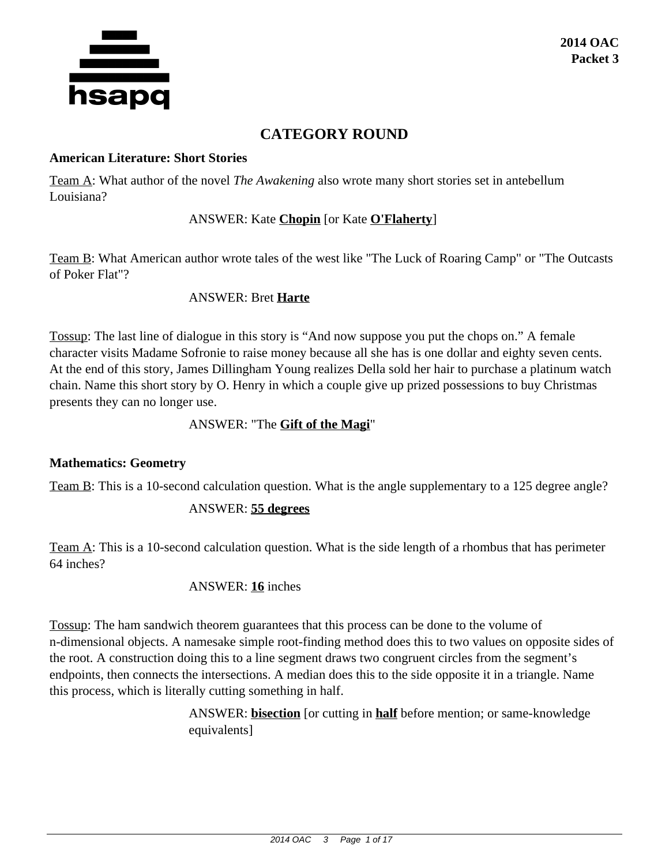

# **CATEGORY ROUND**

#### **American Literature: Short Stories**

Team A: What author of the novel *The Awakening* also wrote many short stories set in antebellum Louisiana?

# ANSWER: Kate **Chopin** [or Kate **O'Flaherty**]

Team B: What American author wrote tales of the west like "The Luck of Roaring Camp" or "The Outcasts of Poker Flat"?

# ANSWER: Bret **Harte**

Tossup: The last line of dialogue in this story is "And now suppose you put the chops on." A female character visits Madame Sofronie to raise money because all she has is one dollar and eighty seven cents. At the end of this story, James Dillingham Young realizes Della sold her hair to purchase a platinum watch chain. Name this short story by O. Henry in which a couple give up prized possessions to buy Christmas presents they can no longer use.

#### ANSWER: "The **Gift of the Magi**"

#### **Mathematics: Geometry**

Team B: This is a 10-second calculation question. What is the angle supplementary to a 125 degree angle?

#### ANSWER: **55 degrees**

Team A: This is a 10-second calculation question. What is the side length of a rhombus that has perimeter 64 inches?

#### ANSWER: **16** inches

Tossup: The ham sandwich theorem guarantees that this process can be done to the volume of n-dimensional objects. A namesake simple root-finding method does this to two values on opposite sides of the root. A construction doing this to a line segment draws two congruent circles from the segment's endpoints, then connects the intersections. A median does this to the side opposite it in a triangle. Name this process, which is literally cutting something in half.

> ANSWER: **bisection** [or cutting in **half** before mention; or same-knowledge equivalents]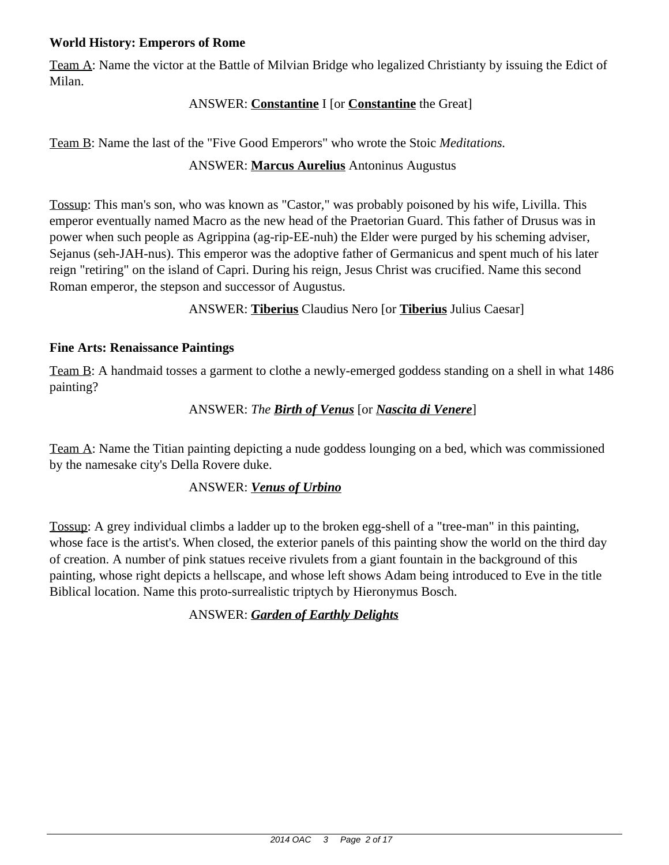#### **World History: Emperors of Rome**

Team A: Name the victor at the Battle of Milvian Bridge who legalized Christianty by issuing the Edict of Milan.

#### ANSWER: **Constantine** I [or **Constantine** the Great]

Team B: Name the last of the "Five Good Emperors" who wrote the Stoic *Meditations.*

# ANSWER: **Marcus Aurelius** Antoninus Augustus

Tossup: This man's son, who was known as "Castor," was probably poisoned by his wife, Livilla. This emperor eventually named Macro as the new head of the Praetorian Guard. This father of Drusus was in power when such people as Agrippina (ag-rip-EE-nuh) the Elder were purged by his scheming adviser, Sejanus (seh-JAH-nus). This emperor was the adoptive father of Germanicus and spent much of his later reign "retiring" on the island of Capri. During his reign, Jesus Christ was crucified. Name this second Roman emperor, the stepson and successor of Augustus.

ANSWER: **Tiberius** Claudius Nero [or **Tiberius** Julius Caesar]

#### **Fine Arts: Renaissance Paintings**

Team B: A handmaid tosses a garment to clothe a newly-emerged goddess standing on a shell in what 1486 painting?

# ANSWER: *The Birth of Venus* [or *Nascita di Venere*]

Team A: Name the Titian painting depicting a nude goddess lounging on a bed, which was commissioned by the namesake city's Della Rovere duke.

#### ANSWER: *Venus of Urbino*

Tossup: A grey individual climbs a ladder up to the broken egg-shell of a "tree-man" in this painting, whose face is the artist's. When closed, the exterior panels of this painting show the world on the third day of creation. A number of pink statues receive rivulets from a giant fountain in the background of this painting, whose right depicts a hellscape, and whose left shows Adam being introduced to Eve in the title Biblical location. Name this proto-surrealistic triptych by Hieronymus Bosch.

# ANSWER: *Garden of Earthly Delights*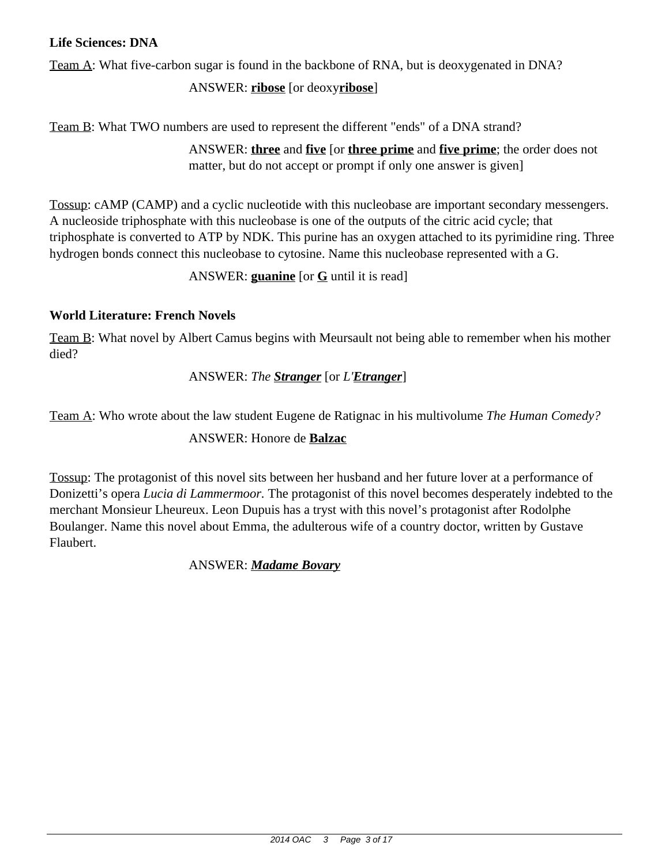#### **Life Sciences: DNA**

Team A: What five-carbon sugar is found in the backbone of RNA, but is deoxygenated in DNA?

# ANSWER: **ribose** [or deoxy**ribose**]

Team B: What TWO numbers are used to represent the different "ends" of a DNA strand?

ANSWER: **three** and **five** [or **three prime** and **five prime**; the order does not matter, but do not accept or prompt if only one answer is given]

Tossup: cAMP (CAMP) and a cyclic nucleotide with this nucleobase are important secondary messengers. A nucleoside triphosphate with this nucleobase is one of the outputs of the citric acid cycle; that triphosphate is converted to ATP by NDK. This purine has an oxygen attached to its pyrimidine ring. Three hydrogen bonds connect this nucleobase to cytosine. Name this nucleobase represented with a G.

ANSWER: **guanine** [or **G** until it is read]

# **World Literature: French Novels**

Team B: What novel by Albert Camus begins with Meursault not being able to remember when his mother died?

# ANSWER: *The Stranger* [or *L'Etranger*]

Team A: Who wrote about the law student Eugene de Ratignac in his multivolume *The Human Comedy?*

#### ANSWER: Honore de **Balzac**

Tossup: The protagonist of this novel sits between her husband and her future lover at a performance of Donizetti's opera *Lucia di Lammermoor.* The protagonist of this novel becomes desperately indebted to the merchant Monsieur Lheureux. Leon Dupuis has a tryst with this novel's protagonist after Rodolphe Boulanger. Name this novel about Emma, the adulterous wife of a country doctor, written by Gustave Flaubert.

ANSWER: *Madame Bovary*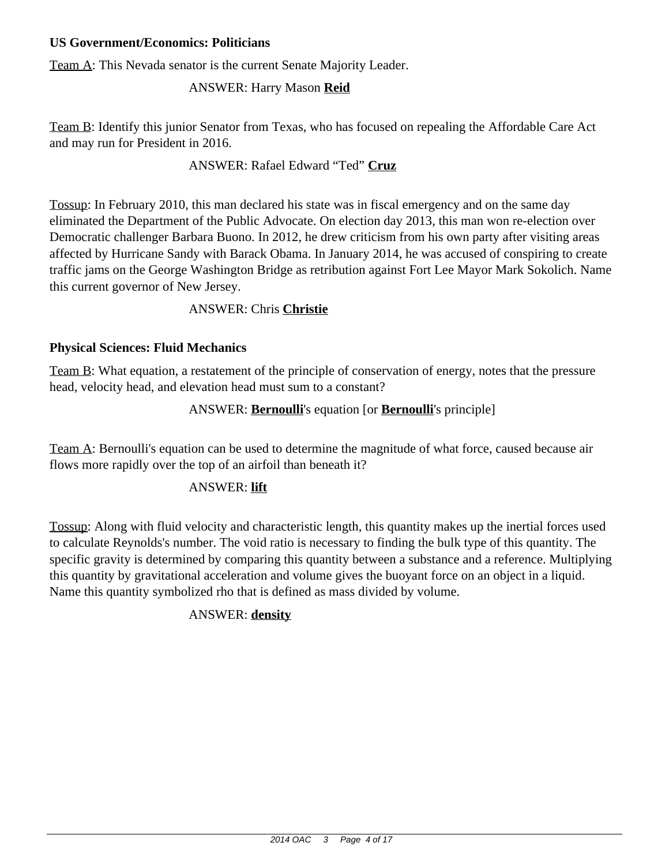#### **US Government/Economics: Politicians**

Team A: This Nevada senator is the current Senate Majority Leader.

ANSWER: Harry Mason **Reid**

Team B: Identify this junior Senator from Texas, who has focused on repealing the Affordable Care Act and may run for President in 2016.

# ANSWER: Rafael Edward "Ted" **Cruz**

Tossup: In February 2010, this man declared his state was in fiscal emergency and on the same day eliminated the Department of the Public Advocate. On election day 2013, this man won re-election over Democratic challenger Barbara Buono. In 2012, he drew criticism from his own party after visiting areas affected by Hurricane Sandy with Barack Obama. In January 2014, he was accused of conspiring to create traffic jams on the George Washington Bridge as retribution against Fort Lee Mayor Mark Sokolich. Name this current governor of New Jersey.

# ANSWER: Chris **Christie**

# **Physical Sciences: Fluid Mechanics**

Team B: What equation, a restatement of the principle of conservation of energy, notes that the pressure head, velocity head, and elevation head must sum to a constant?

# ANSWER: **Bernoulli**'s equation [or **Bernoulli**'s principle]

Team A: Bernoulli's equation can be used to determine the magnitude of what force, caused because air flows more rapidly over the top of an airfoil than beneath it?

# ANSWER: **lift**

Tossup: Along with fluid velocity and characteristic length, this quantity makes up the inertial forces used to calculate Reynolds's number. The void ratio is necessary to finding the bulk type of this quantity. The specific gravity is determined by comparing this quantity between a substance and a reference. Multiplying this quantity by gravitational acceleration and volume gives the buoyant force on an object in a liquid. Name this quantity symbolized rho that is defined as mass divided by volume.

# ANSWER: **density**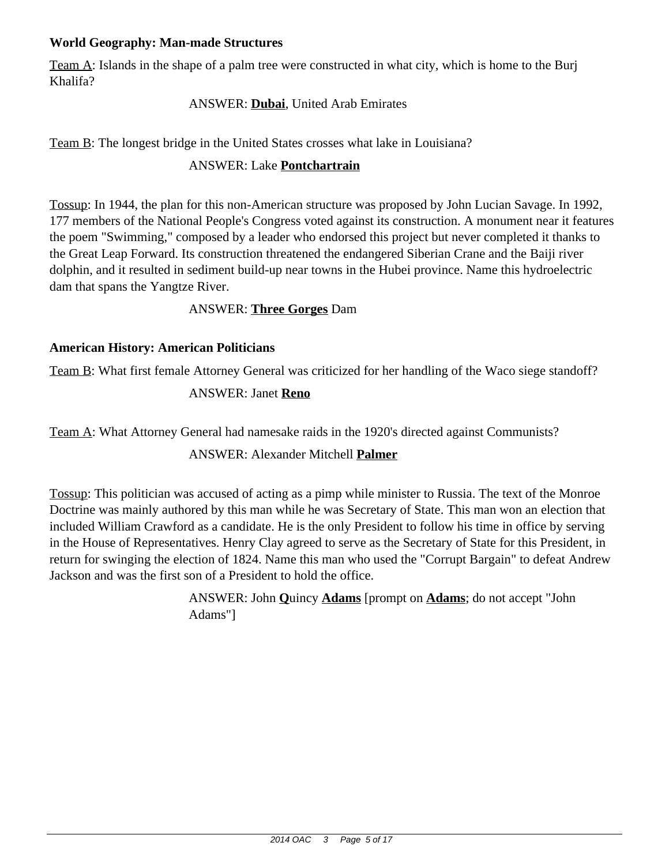#### **World Geography: Man-made Structures**

Team A: Islands in the shape of a palm tree were constructed in what city, which is home to the Burj Khalifa?

# ANSWER: **Dubai**, United Arab Emirates

Team B: The longest bridge in the United States crosses what lake in Louisiana?

# ANSWER: Lake **Pontchartrain**

Tossup: In 1944, the plan for this non-American structure was proposed by John Lucian Savage. In 1992, 177 members of the National People's Congress voted against its construction. A monument near it features the poem "Swimming," composed by a leader who endorsed this project but never completed it thanks to the Great Leap Forward. Its construction threatened the endangered Siberian Crane and the Baiji river dolphin, and it resulted in sediment build-up near towns in the Hubei province. Name this hydroelectric dam that spans the Yangtze River.

# ANSWER: **Three Gorges** Dam

# **American History: American Politicians**

Team B: What first female Attorney General was criticized for her handling of the Waco siege standoff?

# ANSWER: Janet **Reno**

Team A: What Attorney General had namesake raids in the 1920's directed against Communists?

# ANSWER: Alexander Mitchell **Palmer**

Tossup: This politician was accused of acting as a pimp while minister to Russia. The text of the Monroe Doctrine was mainly authored by this man while he was Secretary of State. This man won an election that included William Crawford as a candidate. He is the only President to follow his time in office by serving in the House of Representatives. Henry Clay agreed to serve as the Secretary of State for this President, in return for swinging the election of 1824. Name this man who used the "Corrupt Bargain" to defeat Andrew Jackson and was the first son of a President to hold the office.

> ANSWER: John **Q**uincy **Adams** [prompt on **Adams**; do not accept "John Adams"]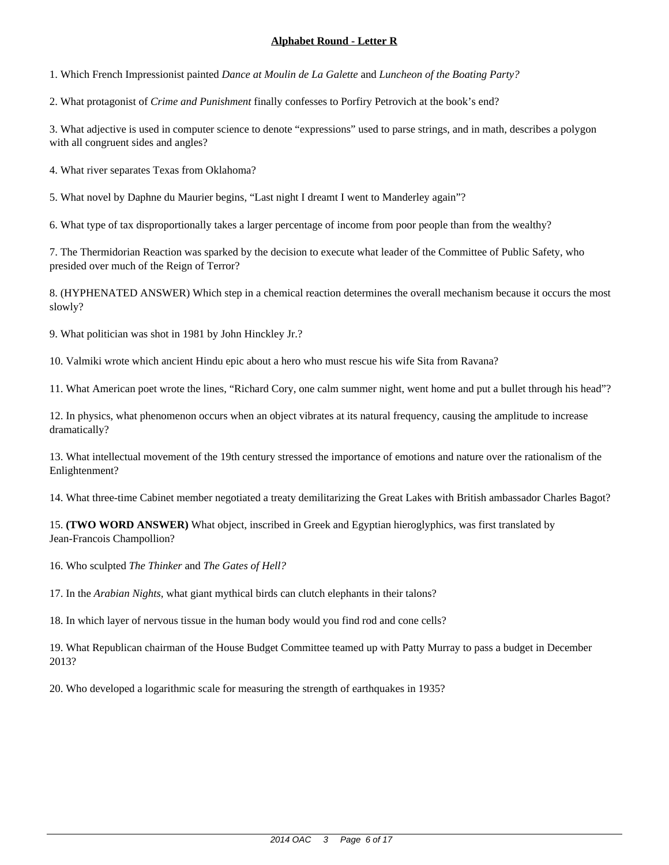1. Which French Impressionist painted *Dance at Moulin de La Galette* and *Luncheon of the Boating Party?*

2. What protagonist of *Crime and Punishment* finally confesses to Porfiry Petrovich at the book's end?

3. What adjective is used in computer science to denote "expressions" used to parse strings, and in math, describes a polygon with all congruent sides and angles?

4. What river separates Texas from Oklahoma?

5. What novel by Daphne du Maurier begins, "Last night I dreamt I went to Manderley again"?

6. What type of tax disproportionally takes a larger percentage of income from poor people than from the wealthy?

7. The Thermidorian Reaction was sparked by the decision to execute what leader of the Committee of Public Safety, who presided over much of the Reign of Terror?

8. (HYPHENATED ANSWER) Which step in a chemical reaction determines the overall mechanism because it occurs the most slowly?

9. What politician was shot in 1981 by John Hinckley Jr.?

10. Valmiki wrote which ancient Hindu epic about a hero who must rescue his wife Sita from Ravana?

11. What American poet wrote the lines, "Richard Cory, one calm summer night, went home and put a bullet through his head"?

12. In physics, what phenomenon occurs when an object vibrates at its natural frequency, causing the amplitude to increase dramatically?

13. What intellectual movement of the 19th century stressed the importance of emotions and nature over the rationalism of the Enlightenment?

14. What three-time Cabinet member negotiated a treaty demilitarizing the Great Lakes with British ambassador Charles Bagot?

15. **(TWO WORD ANSWER)** What object, inscribed in Greek and Egyptian hieroglyphics, was first translated by Jean-Francois Champollion?

16. Who sculpted *The Thinker* and *The Gates of Hell?*

17. In the *Arabian Nights,* what giant mythical birds can clutch elephants in their talons?

18. In which layer of nervous tissue in the human body would you find rod and cone cells?

19. What Republican chairman of the House Budget Committee teamed up with Patty Murray to pass a budget in December 2013?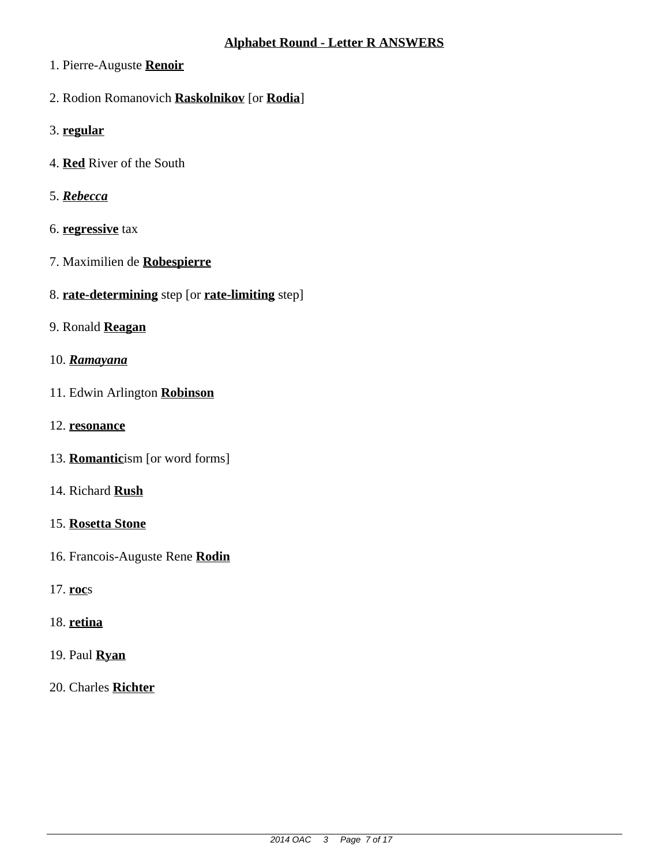- 1. Pierre-Auguste **Renoir**
- 2. Rodion Romanovich **Raskolnikov** [or **Rodia**]
- 3. **regular**
- 4. **Red** River of the South
- 5. *Rebecca*
- 6. **regressive** tax
- 7. Maximilien de **Robespierre**
- 8. **rate-determining** step [or **rate-limiting** step]
- 9. Ronald **Reagan**
- 10. *Ramayana*
- 11. Edwin Arlington **Robinson**
- 12. **resonance**
- 13. **Romantic**ism [or word forms]
- 14. Richard **Rush**
- 15. **Rosetta Stone**
- 16. Francois-Auguste Rene **Rodin**
- 17. **roc**s
- 18. **retina**
- 19. Paul **Ryan**
- 20. Charles **Richter**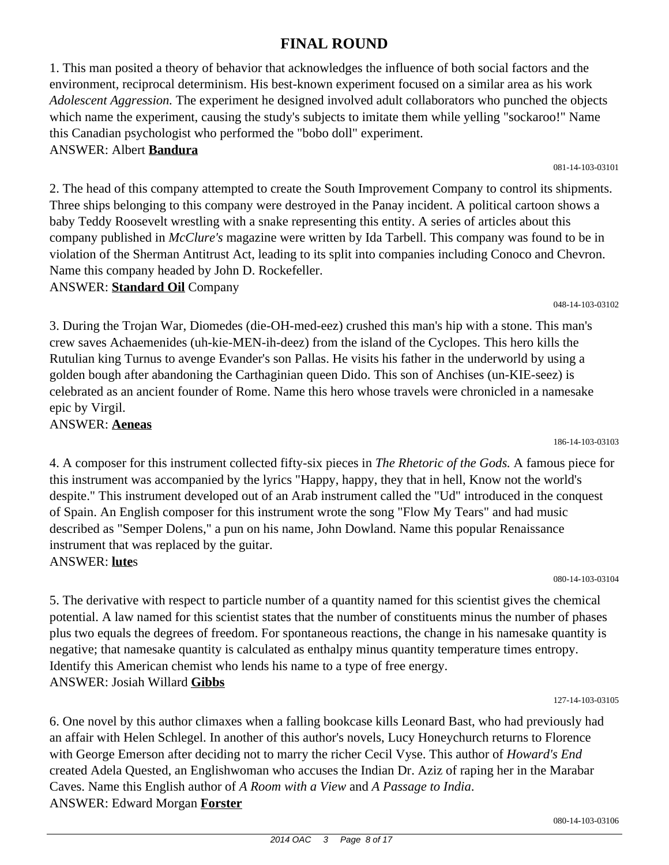#### 2014 OAC 3 Page 8 of 17

**FINAL ROUND**

1. This man posited a theory of behavior that acknowledges the influence of both social factors and the environment, reciprocal determinism. His best-known experiment focused on a similar area as his work *Adolescent Aggression.* The experiment he designed involved adult collaborators who punched the objects which name the experiment, causing the study's subjects to imitate them while yelling "sockaroo!" Name this Canadian psychologist who performed the "bobo doll" experiment. ANSWER: Albert **Bandura**

2. The head of this company attempted to create the South Improvement Company to control its shipments. Three ships belonging to this company were destroyed in the Panay incident. A political cartoon shows a baby Teddy Roosevelt wrestling with a snake representing this entity. A series of articles about this company published in *McClure's* magazine were written by Ida Tarbell. This company was found to be in violation of the Sherman Antitrust Act, leading to its split into companies including Conoco and Chevron. Name this company headed by John D. Rockefeller.

#### ANSWER: **Standard Oil** Company

3. During the Trojan War, Diomedes (die-OH-med-eez) crushed this man's hip with a stone. This man's crew saves Achaemenides (uh-kie-MEN-ih-deez) from the island of the Cyclopes. This hero kills the Rutulian king Turnus to avenge Evander's son Pallas. He visits his father in the underworld by using a golden bough after abandoning the Carthaginian queen Dido. This son of Anchises (un-KIE-seez) is celebrated as an ancient founder of Rome. Name this hero whose travels were chronicled in a namesake epic by Virgil.

ANSWER: **Aeneas**

4. A composer for this instrument collected fifty-six pieces in *The Rhetoric of the Gods.* A famous piece for this instrument was accompanied by the lyrics "Happy, happy, they that in hell, Know not the world's despite." This instrument developed out of an Arab instrument called the "Ud" introduced in the conquest of Spain. An English composer for this instrument wrote the song "Flow My Tears" and had music described as "Semper Dolens," a pun on his name, John Dowland. Name this popular Renaissance instrument that was replaced by the guitar. ANSWER: **lute**s

080-14-103-03104

5. The derivative with respect to particle number of a quantity named for this scientist gives the chemical potential. A law named for this scientist states that the number of constituents minus the number of phases plus two equals the degrees of freedom. For spontaneous reactions, the change in his namesake quantity is negative; that namesake quantity is calculated as enthalpy minus quantity temperature times entropy. Identify this American chemist who lends his name to a type of free energy. ANSWER: Josiah Willard **Gibbs**

127-14-103-03105

6. One novel by this author climaxes when a falling bookcase kills Leonard Bast, who had previously had an affair with Helen Schlegel. In another of this author's novels, Lucy Honeychurch returns to Florence with George Emerson after deciding not to marry the richer Cecil Vyse. This author of *Howard's End* created Adela Quested, an Englishwoman who accuses the Indian Dr. Aziz of raping her in the Marabar Caves. Name this English author of *A Room with a View* and *A Passage to India*. ANSWER: Edward Morgan **Forster**

081-14-103-03101

186-14-103-03103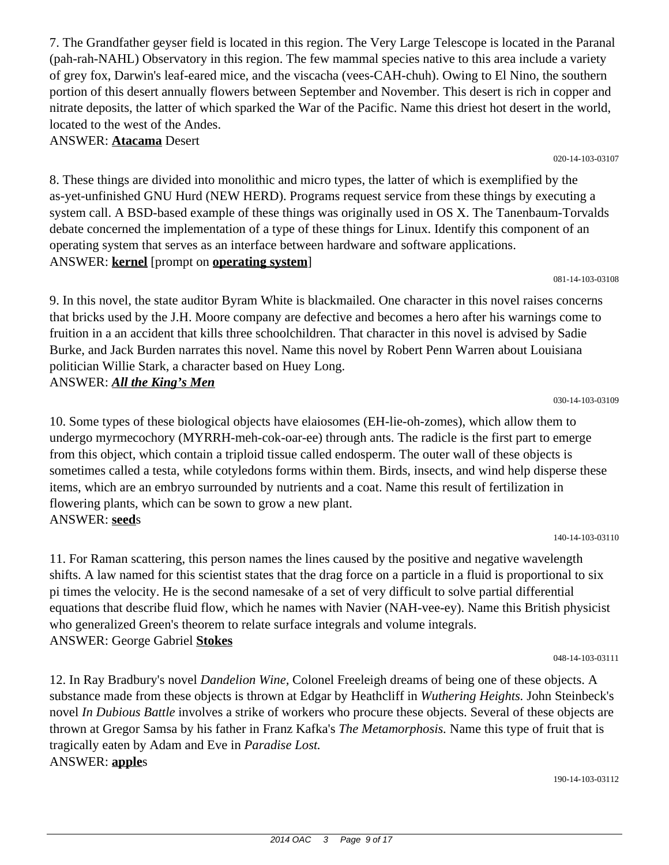7. The Grandfather geyser field is located in this region. The Very Large Telescope is located in the Paranal (pah-rah-NAHL) Observatory in this region. The few mammal species native to this area include a variety of grey fox, Darwin's leaf-eared mice, and the viscacha (vees-CAH-chuh). Owing to El Nino, the southern portion of this desert annually flowers between September and November. This desert is rich in copper and nitrate deposits, the latter of which sparked the War of the Pacific. Name this driest hot desert in the world, located to the west of the Andes.

# ANSWER: **Atacama** Desert

8. These things are divided into monolithic and micro types, the latter of which is exemplified by the as-yet-unfinished GNU Hurd (NEW HERD). Programs request service from these things by executing a system call. A BSD-based example of these things was originally used in OS X. The Tanenbaum-Torvalds debate concerned the implementation of a type of these things for Linux. Identify this component of an operating system that serves as an interface between hardware and software applications. ANSWER: **kernel** [prompt on **operating system**]

081-14-103-03108

9. In this novel, the state auditor Byram White is blackmailed. One character in this novel raises concerns that bricks used by the J.H. Moore company are defective and becomes a hero after his warnings come to fruition in a an accident that kills three schoolchildren. That character in this novel is advised by Sadie Burke, and Jack Burden narrates this novel. Name this novel by Robert Penn Warren about Louisiana politician Willie Stark, a character based on Huey Long. ANSWER: *All the King's Men*

030-14-103-03109

10. Some types of these biological objects have elaiosomes (EH-lie-oh-zomes), which allow them to undergo myrmecochory (MYRRH-meh-cok-oar-ee) through ants. The radicle is the first part to emerge from this object, which contain a triploid tissue called endosperm. The outer wall of these objects is sometimes called a testa, while cotyledons forms within them. Birds, insects, and wind help disperse these items, which are an embryo surrounded by nutrients and a coat. Name this result of fertilization in flowering plants, which can be sown to grow a new plant. ANSWER: **seed**s

# 11. For Raman scattering, this person names the lines caused by the positive and negative wavelength shifts. A law named for this scientist states that the drag force on a particle in a fluid is proportional to six pi times the velocity. He is the second namesake of a set of very difficult to solve partial differential equations that describe fluid flow, which he names with Navier (NAH-vee-ey). Name this British physicist who generalized Green's theorem to relate surface integrals and volume integrals. ANSWER: George Gabriel **Stokes**

048-14-103-03111

140-14-103-03110

12. In Ray Bradbury's novel *Dandelion Wine,* Colonel Freeleigh dreams of being one of these objects. A substance made from these objects is thrown at Edgar by Heathcliff in *Wuthering Heights.* John Steinbeck's novel *In Dubious Battle* involves a strike of workers who procure these objects. Several of these objects are thrown at Gregor Samsa by his father in Franz Kafka's *The Metamorphosis.* Name this type of fruit that is tragically eaten by Adam and Eve in *Paradise Lost.* ANSWER: **apple**s

190-14-103-03112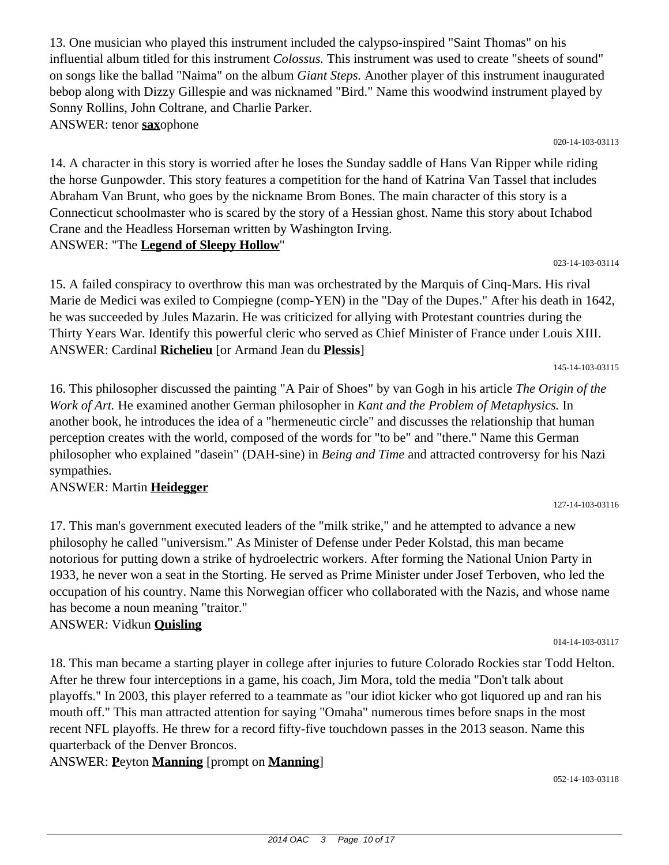2014 OAC 3 Page 10 of 17

13. One musician who played this instrument included the calypso-inspired "Saint Thomas" on his influential album titled for this instrument *Colossus.* This instrument was used to create "sheets of sound" on songs like the ballad "Naima" on the album *Giant Steps.* Another player of this instrument inaugurated bebop along with Dizzy Gillespie and was nicknamed "Bird." Name this woodwind instrument played by Sonny Rollins, John Coltrane, and Charlie Parker. ANSWER: tenor **sax**ophone

020-14-103-03113

14. A character in this story is worried after he loses the Sunday saddle of Hans Van Ripper while riding the horse Gunpowder. This story features a competition for the hand of Katrina Van Tassel that includes Abraham Van Brunt, who goes by the nickname Brom Bones. The main character of this story is a Connecticut schoolmaster who is scared by the story of a Hessian ghost. Name this story about Ichabod Crane and the Headless Horseman written by Washington Irving. ANSWER: "The **Legend of Sleepy Hollow**"

023-14-103-03114

15. A failed conspiracy to overthrow this man was orchestrated by the Marquis of Cinq-Mars. His rival Marie de Medici was exiled to Compiegne (comp-YEN) in the "Day of the Dupes." After his death in 1642, he was succeeded by Jules Mazarin. He was criticized for allying with Protestant countries during the Thirty Years War. Identify this powerful cleric who served as Chief Minister of France under Louis XIII. ANSWER: Cardinal **Richelieu** [or Armand Jean du **Plessis**]

145-14-103-03115

16. This philosopher discussed the painting "A Pair of Shoes" by van Gogh in his article *The Origin of the Work of Art.* He examined another German philosopher in *Kant and the Problem of Metaphysics.* In another book, he introduces the idea of a "hermeneutic circle" and discusses the relationship that human perception creates with the world, composed of the words for "to be" and "there." Name this German philosopher who explained "dasein" (DAH-sine) in *Being and Time* and attracted controversy for his Nazi sympathies.

#### ANSWER: Martin **Heidegger**

17. This man's government executed leaders of the "milk strike," and he attempted to advance a new philosophy he called "universism." As Minister of Defense under Peder Kolstad, this man became notorious for putting down a strike of hydroelectric workers. After forming the National Union Party in 1933, he never won a seat in the Storting. He served as Prime Minister under Josef Terboven, who led the occupation of his country. Name this Norwegian officer who collaborated with the Nazis, and whose name has become a noun meaning "traitor."

#### ANSWER: Vidkun **Quisling**

18. This man became a starting player in college after injuries to future Colorado Rockies star Todd Helton. After he threw four interceptions in a game, his coach, Jim Mora, told the media "Don't talk about playoffs." In 2003, this player referred to a teammate as "our idiot kicker who got liquored up and ran his mouth off." This man attracted attention for saying "Omaha" numerous times before snaps in the most recent NFL playoffs. He threw for a record fifty-five touchdown passes in the 2013 season. Name this quarterback of the Denver Broncos.

ANSWER: **P**eyton **Manning** [prompt on **Manning**]

014-14-103-03117

127-14-103-03116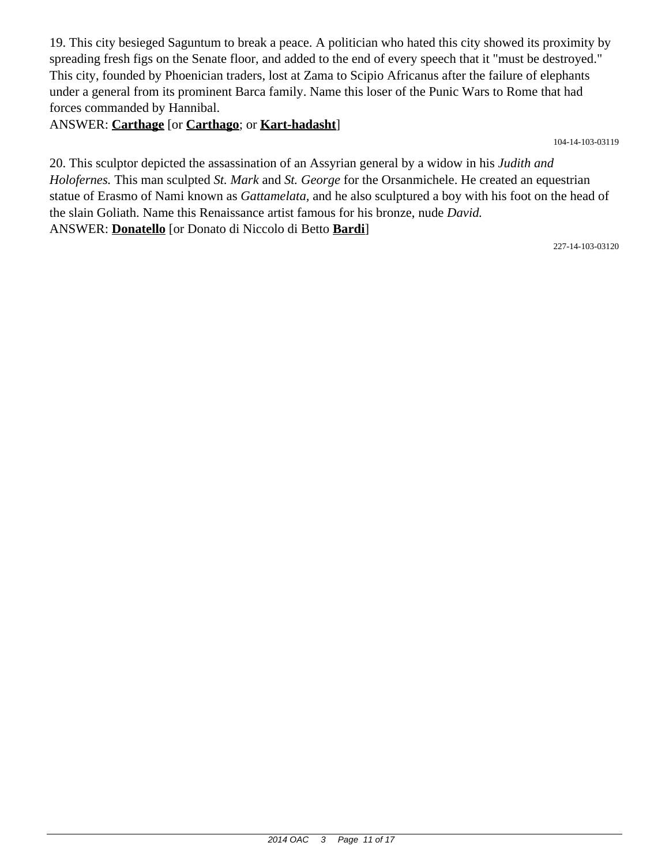19. This city besieged Saguntum to break a peace. A politician who hated this city showed its proximity by spreading fresh figs on the Senate floor, and added to the end of every speech that it "must be destroyed." This city, founded by Phoenician traders, lost at Zama to Scipio Africanus after the failure of elephants under a general from its prominent Barca family. Name this loser of the Punic Wars to Rome that had forces commanded by Hannibal.

ANSWER: **Carthage** [or **Carthago**; or **Kart-hadasht**]

104-14-103-03119

20. This sculptor depicted the assassination of an Assyrian general by a widow in his *Judith and Holofernes.* This man sculpted *St. Mark* and *St. George* for the Orsanmichele. He created an equestrian statue of Erasmo of Nami known as *Gattamelata,* and he also sculptured a boy with his foot on the head of the slain Goliath. Name this Renaissance artist famous for his bronze, nude *David.* ANSWER: **Donatello** [or Donato di Niccolo di Betto **Bardi**]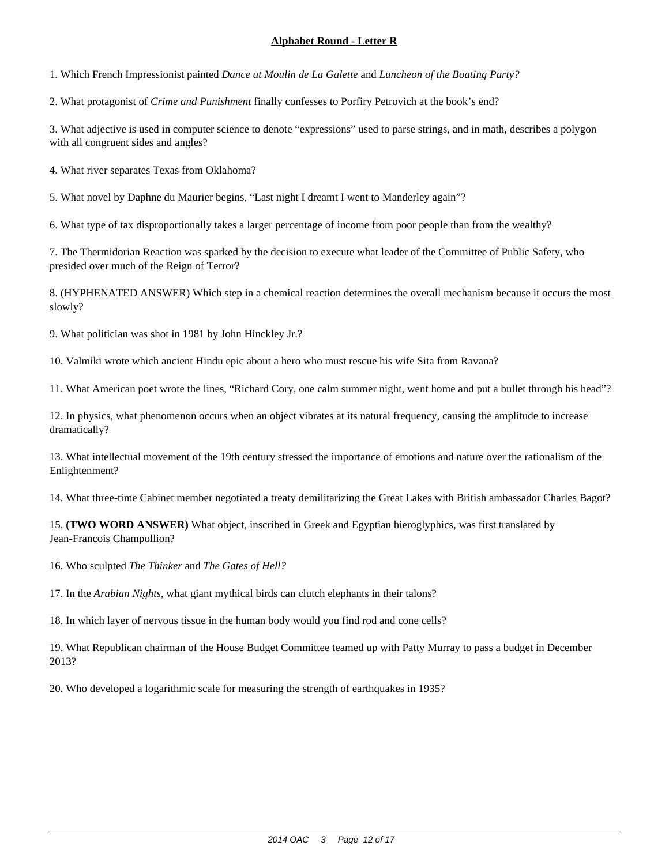1. Which French Impressionist painted *Dance at Moulin de La Galette* and *Luncheon of the Boating Party?*

2. What protagonist of *Crime and Punishment* finally confesses to Porfiry Petrovich at the book's end?

3. What adjective is used in computer science to denote "expressions" used to parse strings, and in math, describes a polygon with all congruent sides and angles?

4. What river separates Texas from Oklahoma?

5. What novel by Daphne du Maurier begins, "Last night I dreamt I went to Manderley again"?

6. What type of tax disproportionally takes a larger percentage of income from poor people than from the wealthy?

7. The Thermidorian Reaction was sparked by the decision to execute what leader of the Committee of Public Safety, who presided over much of the Reign of Terror?

8. (HYPHENATED ANSWER) Which step in a chemical reaction determines the overall mechanism because it occurs the most slowly?

9. What politician was shot in 1981 by John Hinckley Jr.?

10. Valmiki wrote which ancient Hindu epic about a hero who must rescue his wife Sita from Ravana?

11. What American poet wrote the lines, "Richard Cory, one calm summer night, went home and put a bullet through his head"?

12. In physics, what phenomenon occurs when an object vibrates at its natural frequency, causing the amplitude to increase dramatically?

13. What intellectual movement of the 19th century stressed the importance of emotions and nature over the rationalism of the Enlightenment?

14. What three-time Cabinet member negotiated a treaty demilitarizing the Great Lakes with British ambassador Charles Bagot?

15. **(TWO WORD ANSWER)** What object, inscribed in Greek and Egyptian hieroglyphics, was first translated by Jean-Francois Champollion?

16. Who sculpted *The Thinker* and *The Gates of Hell?*

17. In the *Arabian Nights,* what giant mythical birds can clutch elephants in their talons?

18. In which layer of nervous tissue in the human body would you find rod and cone cells?

19. What Republican chairman of the House Budget Committee teamed up with Patty Murray to pass a budget in December 2013?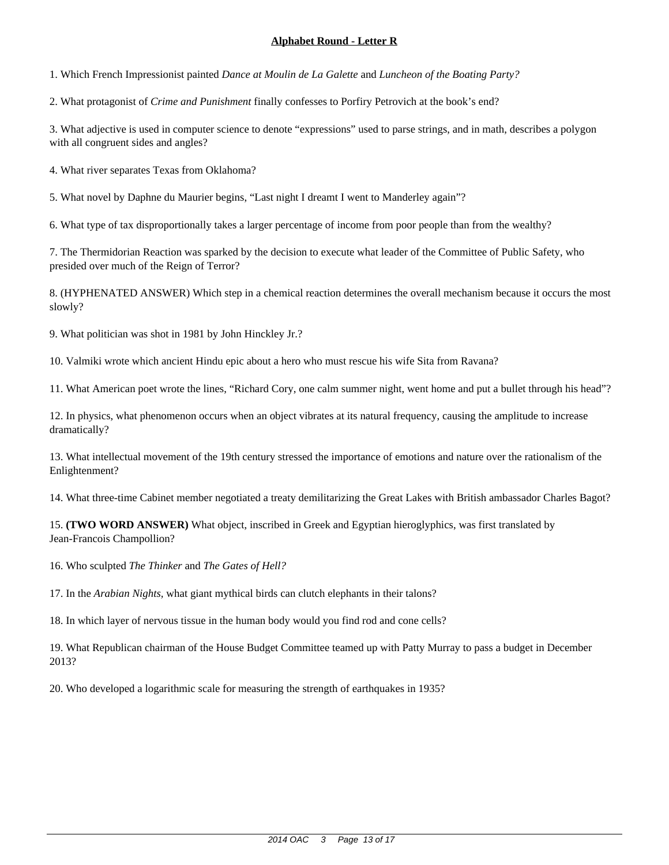1. Which French Impressionist painted *Dance at Moulin de La Galette* and *Luncheon of the Boating Party?*

2. What protagonist of *Crime and Punishment* finally confesses to Porfiry Petrovich at the book's end?

3. What adjective is used in computer science to denote "expressions" used to parse strings, and in math, describes a polygon with all congruent sides and angles?

4. What river separates Texas from Oklahoma?

5. What novel by Daphne du Maurier begins, "Last night I dreamt I went to Manderley again"?

6. What type of tax disproportionally takes a larger percentage of income from poor people than from the wealthy?

7. The Thermidorian Reaction was sparked by the decision to execute what leader of the Committee of Public Safety, who presided over much of the Reign of Terror?

8. (HYPHENATED ANSWER) Which step in a chemical reaction determines the overall mechanism because it occurs the most slowly?

9. What politician was shot in 1981 by John Hinckley Jr.?

10. Valmiki wrote which ancient Hindu epic about a hero who must rescue his wife Sita from Ravana?

11. What American poet wrote the lines, "Richard Cory, one calm summer night, went home and put a bullet through his head"?

12. In physics, what phenomenon occurs when an object vibrates at its natural frequency, causing the amplitude to increase dramatically?

13. What intellectual movement of the 19th century stressed the importance of emotions and nature over the rationalism of the Enlightenment?

14. What three-time Cabinet member negotiated a treaty demilitarizing the Great Lakes with British ambassador Charles Bagot?

15. **(TWO WORD ANSWER)** What object, inscribed in Greek and Egyptian hieroglyphics, was first translated by Jean-Francois Champollion?

16. Who sculpted *The Thinker* and *The Gates of Hell?*

17. In the *Arabian Nights,* what giant mythical birds can clutch elephants in their talons?

18. In which layer of nervous tissue in the human body would you find rod and cone cells?

19. What Republican chairman of the House Budget Committee teamed up with Patty Murray to pass a budget in December 2013?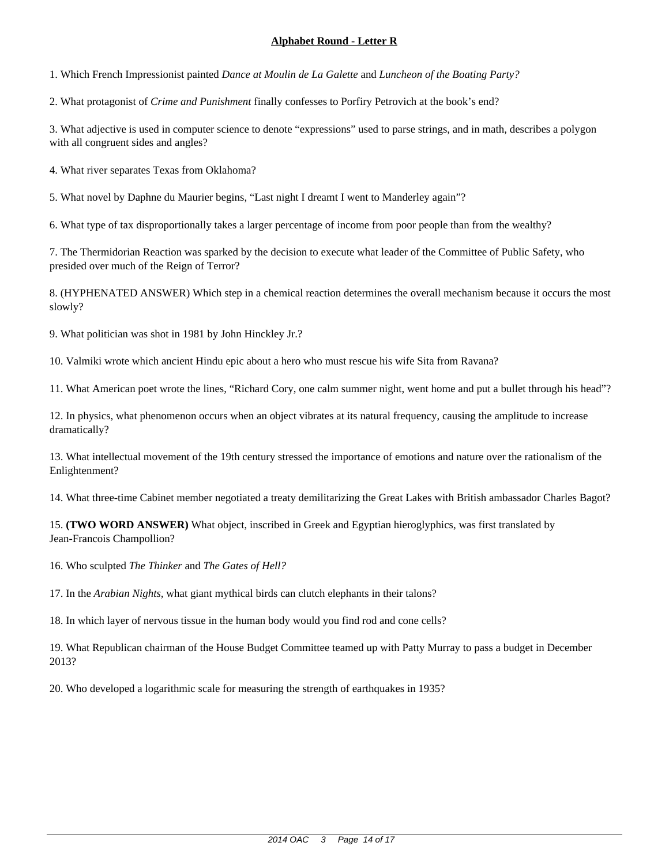1. Which French Impressionist painted *Dance at Moulin de La Galette* and *Luncheon of the Boating Party?*

2. What protagonist of *Crime and Punishment* finally confesses to Porfiry Petrovich at the book's end?

3. What adjective is used in computer science to denote "expressions" used to parse strings, and in math, describes a polygon with all congruent sides and angles?

4. What river separates Texas from Oklahoma?

5. What novel by Daphne du Maurier begins, "Last night I dreamt I went to Manderley again"?

6. What type of tax disproportionally takes a larger percentage of income from poor people than from the wealthy?

7. The Thermidorian Reaction was sparked by the decision to execute what leader of the Committee of Public Safety, who presided over much of the Reign of Terror?

8. (HYPHENATED ANSWER) Which step in a chemical reaction determines the overall mechanism because it occurs the most slowly?

9. What politician was shot in 1981 by John Hinckley Jr.?

10. Valmiki wrote which ancient Hindu epic about a hero who must rescue his wife Sita from Ravana?

11. What American poet wrote the lines, "Richard Cory, one calm summer night, went home and put a bullet through his head"?

12. In physics, what phenomenon occurs when an object vibrates at its natural frequency, causing the amplitude to increase dramatically?

13. What intellectual movement of the 19th century stressed the importance of emotions and nature over the rationalism of the Enlightenment?

14. What three-time Cabinet member negotiated a treaty demilitarizing the Great Lakes with British ambassador Charles Bagot?

15. **(TWO WORD ANSWER)** What object, inscribed in Greek and Egyptian hieroglyphics, was first translated by Jean-Francois Champollion?

16. Who sculpted *The Thinker* and *The Gates of Hell?*

17. In the *Arabian Nights,* what giant mythical birds can clutch elephants in their talons?

18. In which layer of nervous tissue in the human body would you find rod and cone cells?

19. What Republican chairman of the House Budget Committee teamed up with Patty Murray to pass a budget in December 2013?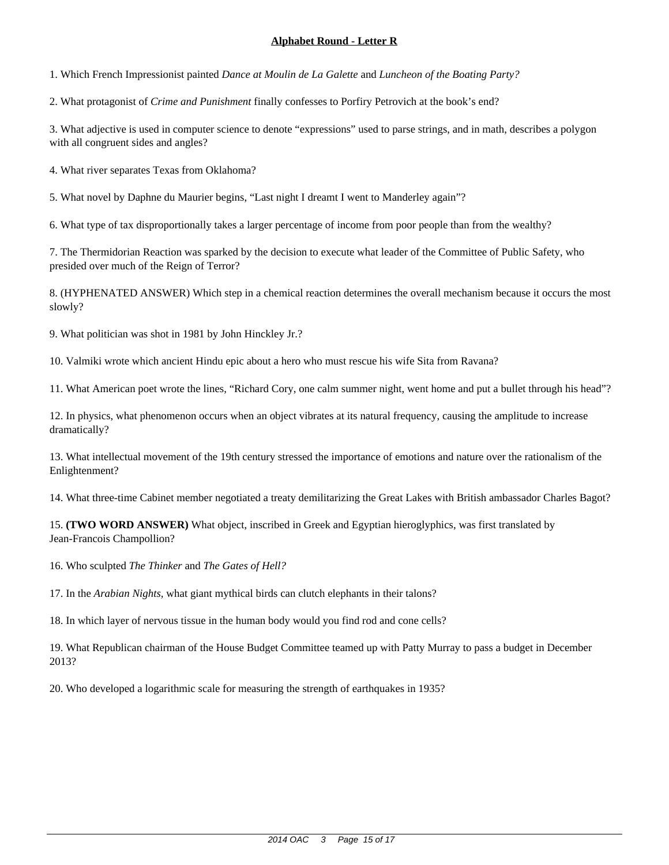1. Which French Impressionist painted *Dance at Moulin de La Galette* and *Luncheon of the Boating Party?*

2. What protagonist of *Crime and Punishment* finally confesses to Porfiry Petrovich at the book's end?

3. What adjective is used in computer science to denote "expressions" used to parse strings, and in math, describes a polygon with all congruent sides and angles?

4. What river separates Texas from Oklahoma?

5. What novel by Daphne du Maurier begins, "Last night I dreamt I went to Manderley again"?

6. What type of tax disproportionally takes a larger percentage of income from poor people than from the wealthy?

7. The Thermidorian Reaction was sparked by the decision to execute what leader of the Committee of Public Safety, who presided over much of the Reign of Terror?

8. (HYPHENATED ANSWER) Which step in a chemical reaction determines the overall mechanism because it occurs the most slowly?

9. What politician was shot in 1981 by John Hinckley Jr.?

10. Valmiki wrote which ancient Hindu epic about a hero who must rescue his wife Sita from Ravana?

11. What American poet wrote the lines, "Richard Cory, one calm summer night, went home and put a bullet through his head"?

12. In physics, what phenomenon occurs when an object vibrates at its natural frequency, causing the amplitude to increase dramatically?

13. What intellectual movement of the 19th century stressed the importance of emotions and nature over the rationalism of the Enlightenment?

14. What three-time Cabinet member negotiated a treaty demilitarizing the Great Lakes with British ambassador Charles Bagot?

15. **(TWO WORD ANSWER)** What object, inscribed in Greek and Egyptian hieroglyphics, was first translated by Jean-Francois Champollion?

16. Who sculpted *The Thinker* and *The Gates of Hell?*

17. In the *Arabian Nights,* what giant mythical birds can clutch elephants in their talons?

18. In which layer of nervous tissue in the human body would you find rod and cone cells?

19. What Republican chairman of the House Budget Committee teamed up with Patty Murray to pass a budget in December 2013?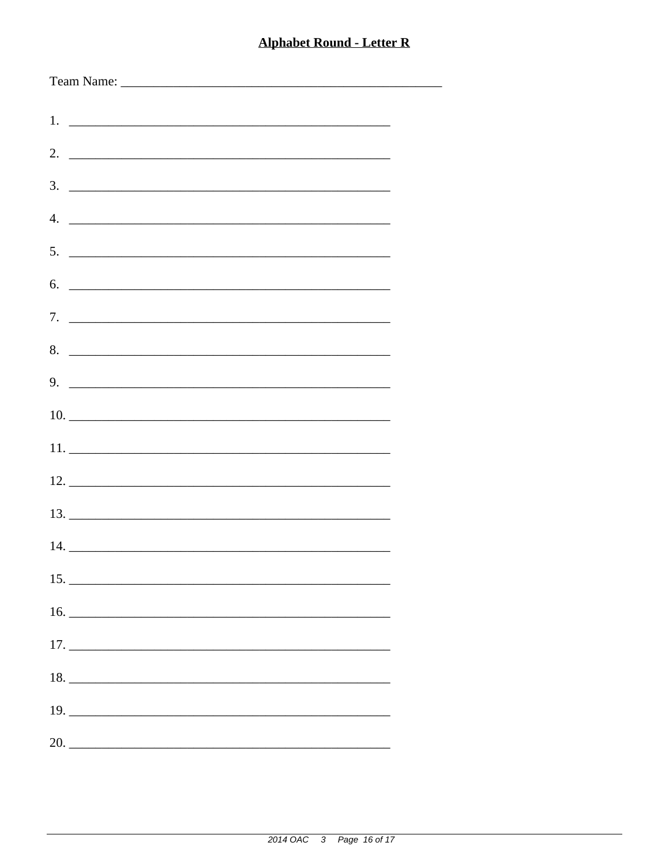| $\overline{4}$ . |                               |  |  |  |
|------------------|-------------------------------|--|--|--|
|                  | $5.$ $\overline{\phantom{a}}$ |  |  |  |
|                  |                               |  |  |  |
| 6.               |                               |  |  |  |
|                  |                               |  |  |  |
|                  | 8.                            |  |  |  |
|                  |                               |  |  |  |
|                  | $9.$ $\overline{\phantom{a}}$ |  |  |  |
|                  |                               |  |  |  |
|                  |                               |  |  |  |
|                  |                               |  |  |  |
|                  |                               |  |  |  |
|                  |                               |  |  |  |
|                  |                               |  |  |  |
|                  |                               |  |  |  |
|                  |                               |  |  |  |
|                  |                               |  |  |  |
|                  | $17. \_$                      |  |  |  |
|                  |                               |  |  |  |
|                  |                               |  |  |  |
|                  | 19.                           |  |  |  |
| 20.              |                               |  |  |  |